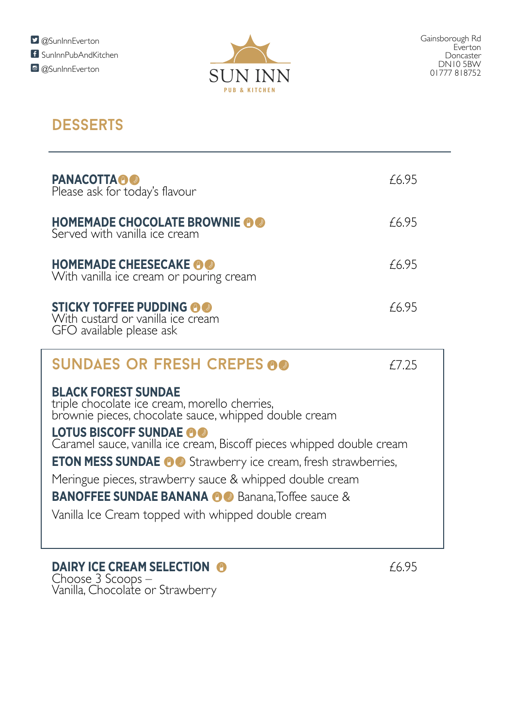

## **DESSERTS**

| <b>PANACOTTA A</b><br>Please ask for today's flavour                                                                                                                                                                                                                                                                                                                                                                                                                                          | £695   |  |
|-----------------------------------------------------------------------------------------------------------------------------------------------------------------------------------------------------------------------------------------------------------------------------------------------------------------------------------------------------------------------------------------------------------------------------------------------------------------------------------------------|--------|--|
| <b>HOMEMADE CHOCOLATE BROWNIE AO</b><br>Served with vanilla ice cream                                                                                                                                                                                                                                                                                                                                                                                                                         | £6.95  |  |
| <b>HOMEMADE CHEESECAKE OO</b><br>With vanilla ice cream or pouring cream                                                                                                                                                                                                                                                                                                                                                                                                                      | £6.95  |  |
| <b>STICKY TOFFEE PUDDING @@</b><br>With custard or vanilla ice cream<br>GFO available please ask                                                                                                                                                                                                                                                                                                                                                                                              | £6.95  |  |
| <b>SUNDAES OR FRESH CREPES 00</b>                                                                                                                                                                                                                                                                                                                                                                                                                                                             | f 7.25 |  |
| <b>BLACK FOREST SUNDAE</b><br>triple chocolate ice cream, morello cherries,<br>brownie pieces, chocolate sauce, whipped double cream<br>LOTUS BISCOFF SUNDAE OO<br>Caramel sauce, vanilla ice cream, Biscoff pieces whipped double cream<br><b>ETON MESS SUNDAE OG</b> Strawberry ice cream, fresh strawberries,<br>Meringue pieces, strawberry sauce & whipped double cream<br><b>BANOFFEE SUNDAE BANANA OG</b> Banana, Toffee sauce &<br>Vanilla Ice Cream topped with whipped double cream |        |  |

**DAIRY ICE CREAM SELECTION 6 6.95** Choose 3 Scoops – Vanilla, Chocolate or Strawberry